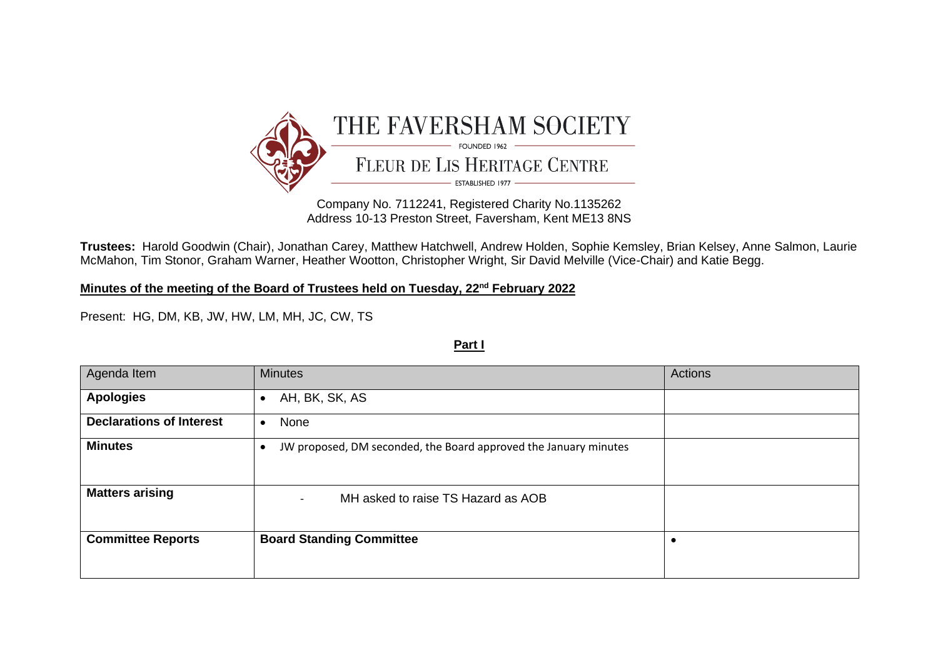

Company No. 7112241, Registered Charity No.1135262 Address 10-13 Preston Street, Faversham, Kent ME13 8NS

**Trustees:** Harold Goodwin (Chair), Jonathan Carey, Matthew Hatchwell, Andrew Holden, Sophie Kemsley, Brian Kelsey, Anne Salmon, Laurie McMahon, Tim Stonor, Graham Warner, Heather Wootton, Christopher Wright, Sir David Melville (Vice-Chair) and Katie Begg.

**Minutes of the meeting of the Board of Trustees held on Tuesday, 22nd February 2022**

Present: HG, DM, KB, JW, HW, LM, MH, JC, CW, TS

**Part I**

| Agenda Item                     | <b>Minutes</b>                                                        | Actions |
|---------------------------------|-----------------------------------------------------------------------|---------|
| <b>Apologies</b>                | AH, BK, SK, AS<br>٠                                                   |         |
| <b>Declarations of Interest</b> | None<br>$\bullet$                                                     |         |
| <b>Minutes</b>                  | JW proposed, DM seconded, the Board approved the January minutes<br>€ |         |
| <b>Matters arising</b>          | MH asked to raise TS Hazard as AOB<br>$\overline{\phantom{a}}$        |         |
| <b>Committee Reports</b>        | <b>Board Standing Committee</b>                                       |         |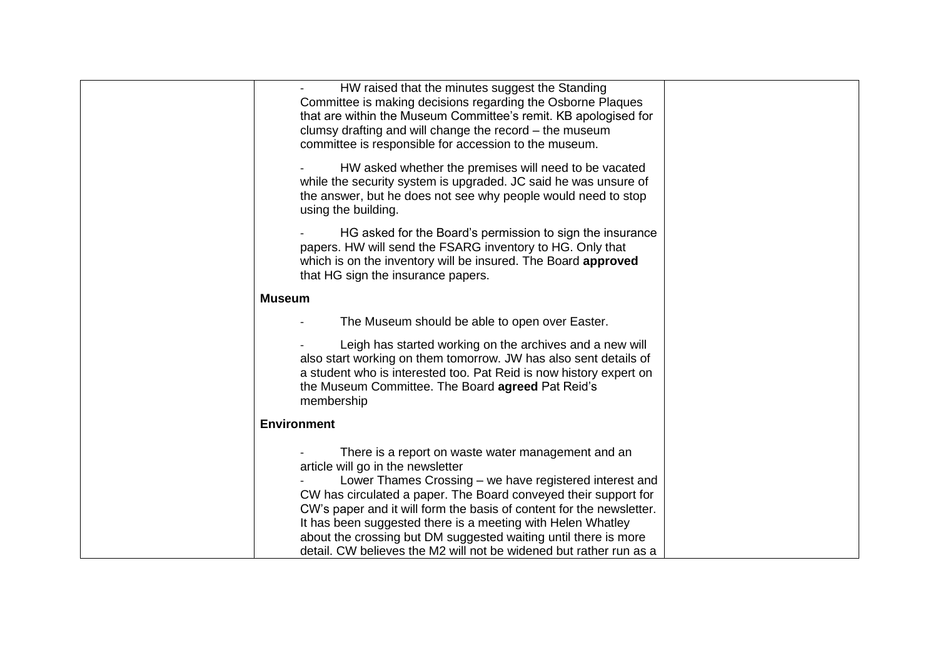| HW raised that the minutes suggest the Standing<br>Committee is making decisions regarding the Osborne Plaques<br>that are within the Museum Committee's remit. KB apologised for<br>clumsy drafting and will change the record – the museum<br>committee is responsible for accession to the museum.<br>HW asked whether the premises will need to be vacated<br>while the security system is upgraded. JC said he was unsure of<br>the answer, but he does not see why people would need to stop<br>using the building.<br>HG asked for the Board's permission to sign the insurance<br>papers. HW will send the FSARG inventory to HG. Only that<br>which is on the inventory will be insured. The Board approved |  |
|----------------------------------------------------------------------------------------------------------------------------------------------------------------------------------------------------------------------------------------------------------------------------------------------------------------------------------------------------------------------------------------------------------------------------------------------------------------------------------------------------------------------------------------------------------------------------------------------------------------------------------------------------------------------------------------------------------------------|--|
| that HG sign the insurance papers.                                                                                                                                                                                                                                                                                                                                                                                                                                                                                                                                                                                                                                                                                   |  |
| Museum                                                                                                                                                                                                                                                                                                                                                                                                                                                                                                                                                                                                                                                                                                               |  |
| The Museum should be able to open over Easter.                                                                                                                                                                                                                                                                                                                                                                                                                                                                                                                                                                                                                                                                       |  |
| Leigh has started working on the archives and a new will<br>also start working on them tomorrow. JW has also sent details of<br>a student who is interested too. Pat Reid is now history expert on<br>the Museum Committee. The Board agreed Pat Reid's<br>membership                                                                                                                                                                                                                                                                                                                                                                                                                                                |  |
| <b>Environment</b>                                                                                                                                                                                                                                                                                                                                                                                                                                                                                                                                                                                                                                                                                                   |  |
| There is a report on waste water management and an<br>article will go in the newsletter<br>Lower Thames Crossing – we have registered interest and<br>CW has circulated a paper. The Board conveyed their support for<br>CW's paper and it will form the basis of content for the newsletter.<br>It has been suggested there is a meeting with Helen Whatley<br>about the crossing but DM suggested waiting until there is more<br>detail. CW believes the M2 will not be widened but rather run as a                                                                                                                                                                                                                |  |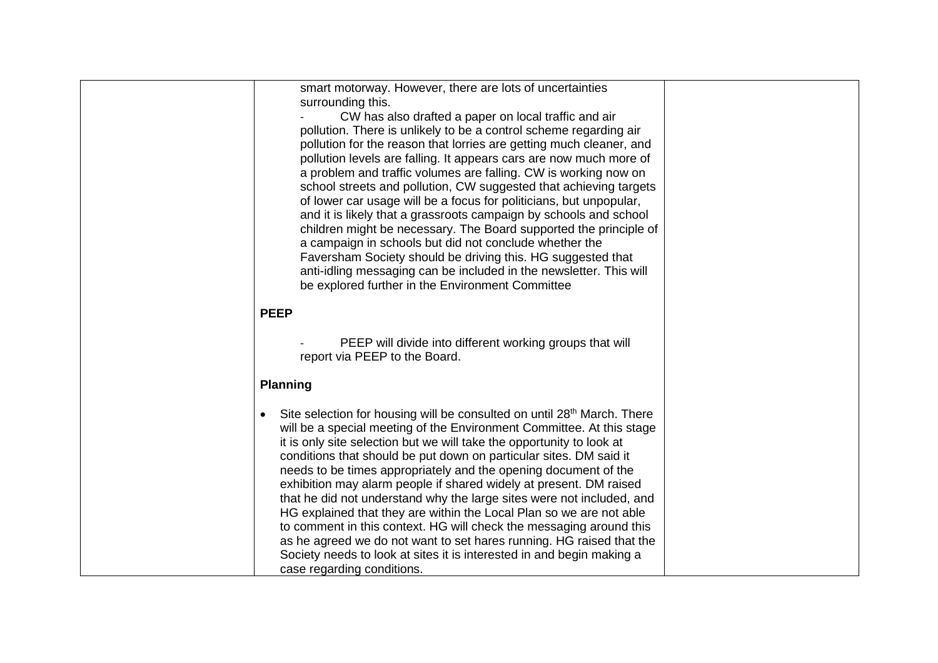| smart motorway. However, there are lots of uncertainties                                                                                                                                                                                                                                                                                                                                                                                   |  |
|--------------------------------------------------------------------------------------------------------------------------------------------------------------------------------------------------------------------------------------------------------------------------------------------------------------------------------------------------------------------------------------------------------------------------------------------|--|
| surrounding this.                                                                                                                                                                                                                                                                                                                                                                                                                          |  |
| CW has also drafted a paper on local traffic and air                                                                                                                                                                                                                                                                                                                                                                                       |  |
| pollution. There is unlikely to be a control scheme regarding air                                                                                                                                                                                                                                                                                                                                                                          |  |
| pollution for the reason that lorries are getting much cleaner, and                                                                                                                                                                                                                                                                                                                                                                        |  |
| pollution levels are falling. It appears cars are now much more of                                                                                                                                                                                                                                                                                                                                                                         |  |
| a problem and traffic volumes are falling. CW is working now on                                                                                                                                                                                                                                                                                                                                                                            |  |
| school streets and pollution, CW suggested that achieving targets                                                                                                                                                                                                                                                                                                                                                                          |  |
| of lower car usage will be a focus for politicians, but unpopular,                                                                                                                                                                                                                                                                                                                                                                         |  |
| and it is likely that a grassroots campaign by schools and school                                                                                                                                                                                                                                                                                                                                                                          |  |
| children might be necessary. The Board supported the principle of                                                                                                                                                                                                                                                                                                                                                                          |  |
| a campaign in schools but did not conclude whether the                                                                                                                                                                                                                                                                                                                                                                                     |  |
| Faversham Society should be driving this. HG suggested that                                                                                                                                                                                                                                                                                                                                                                                |  |
| anti-idling messaging can be included in the newsletter. This will                                                                                                                                                                                                                                                                                                                                                                         |  |
| be explored further in the Environment Committee                                                                                                                                                                                                                                                                                                                                                                                           |  |
|                                                                                                                                                                                                                                                                                                                                                                                                                                            |  |
| <b>PEEP</b>                                                                                                                                                                                                                                                                                                                                                                                                                                |  |
|                                                                                                                                                                                                                                                                                                                                                                                                                                            |  |
| PEEP will divide into different working groups that will                                                                                                                                                                                                                                                                                                                                                                                   |  |
| report via PEEP to the Board.                                                                                                                                                                                                                                                                                                                                                                                                              |  |
|                                                                                                                                                                                                                                                                                                                                                                                                                                            |  |
| <b>Planning</b>                                                                                                                                                                                                                                                                                                                                                                                                                            |  |
|                                                                                                                                                                                                                                                                                                                                                                                                                                            |  |
| Site selection for housing will be consulted on until 28 <sup>th</sup> March. There<br>$\bullet$                                                                                                                                                                                                                                                                                                                                           |  |
| will be a special meeting of the Environment Committee. At this stage                                                                                                                                                                                                                                                                                                                                                                      |  |
| it is only site selection but we will take the opportunity to look at<br>conditions that should be put down on particular sites. DM said it                                                                                                                                                                                                                                                                                                |  |
| needs to be times appropriately and the opening document of the                                                                                                                                                                                                                                                                                                                                                                            |  |
|                                                                                                                                                                                                                                                                                                                                                                                                                                            |  |
|                                                                                                                                                                                                                                                                                                                                                                                                                                            |  |
|                                                                                                                                                                                                                                                                                                                                                                                                                                            |  |
|                                                                                                                                                                                                                                                                                                                                                                                                                                            |  |
|                                                                                                                                                                                                                                                                                                                                                                                                                                            |  |
|                                                                                                                                                                                                                                                                                                                                                                                                                                            |  |
| case regarding conditions.                                                                                                                                                                                                                                                                                                                                                                                                                 |  |
| exhibition may alarm people if shared widely at present. DM raised<br>that he did not understand why the large sites were not included, and<br>HG explained that they are within the Local Plan so we are not able<br>to comment in this context. HG will check the messaging around this<br>as he agreed we do not want to set hares running. HG raised that the<br>Society needs to look at sites it is interested in and begin making a |  |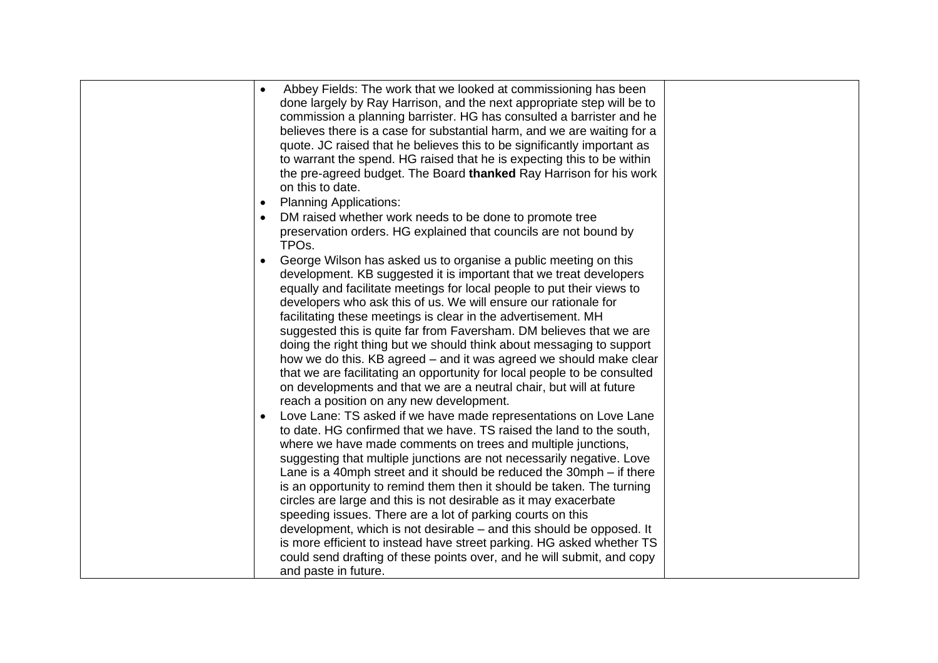| Abbey Fields: The work that we looked at commissioning has been<br>$\bullet$<br>done largely by Ray Harrison, and the next appropriate step will be to<br>commission a planning barrister. HG has consulted a barrister and he<br>believes there is a case for substantial harm, and we are waiting for a<br>quote. JC raised that he believes this to be significantly important as<br>to warrant the spend. HG raised that he is expecting this to be within<br>the pre-agreed budget. The Board thanked Ray Harrison for his work<br>on this to date.                                                                                                                                                                                                                                                                                                                                                                                                                                                                                                                                                                                                                                                                                                                                       |  |
|------------------------------------------------------------------------------------------------------------------------------------------------------------------------------------------------------------------------------------------------------------------------------------------------------------------------------------------------------------------------------------------------------------------------------------------------------------------------------------------------------------------------------------------------------------------------------------------------------------------------------------------------------------------------------------------------------------------------------------------------------------------------------------------------------------------------------------------------------------------------------------------------------------------------------------------------------------------------------------------------------------------------------------------------------------------------------------------------------------------------------------------------------------------------------------------------------------------------------------------------------------------------------------------------|--|
| <b>Planning Applications:</b><br>$\bullet$                                                                                                                                                                                                                                                                                                                                                                                                                                                                                                                                                                                                                                                                                                                                                                                                                                                                                                                                                                                                                                                                                                                                                                                                                                                     |  |
| DM raised whether work needs to be done to promote tree<br>preservation orders. HG explained that councils are not bound by<br>TPO <sub>s</sub> .                                                                                                                                                                                                                                                                                                                                                                                                                                                                                                                                                                                                                                                                                                                                                                                                                                                                                                                                                                                                                                                                                                                                              |  |
| George Wilson has asked us to organise a public meeting on this<br>development. KB suggested it is important that we treat developers<br>equally and facilitate meetings for local people to put their views to<br>developers who ask this of us. We will ensure our rationale for<br>facilitating these meetings is clear in the advertisement. MH<br>suggested this is quite far from Faversham. DM believes that we are<br>doing the right thing but we should think about messaging to support<br>how we do this. KB agreed – and it was agreed we should make clear<br>that we are facilitating an opportunity for local people to be consulted<br>on developments and that we are a neutral chair, but will at future<br>reach a position on any new development.<br>Love Lane: TS asked if we have made representations on Love Lane<br>$\bullet$<br>to date. HG confirmed that we have. TS raised the land to the south,<br>where we have made comments on trees and multiple junctions,<br>suggesting that multiple junctions are not necessarily negative. Love<br>Lane is a 40mph street and it should be reduced the 30mph – if there<br>is an opportunity to remind them then it should be taken. The turning<br>circles are large and this is not desirable as it may exacerbate |  |
| speeding issues. There are a lot of parking courts on this<br>development, which is not desirable – and this should be opposed. It<br>is more efficient to instead have street parking. HG asked whether TS<br>could send drafting of these points over, and he will submit, and copy<br>and paste in future.                                                                                                                                                                                                                                                                                                                                                                                                                                                                                                                                                                                                                                                                                                                                                                                                                                                                                                                                                                                  |  |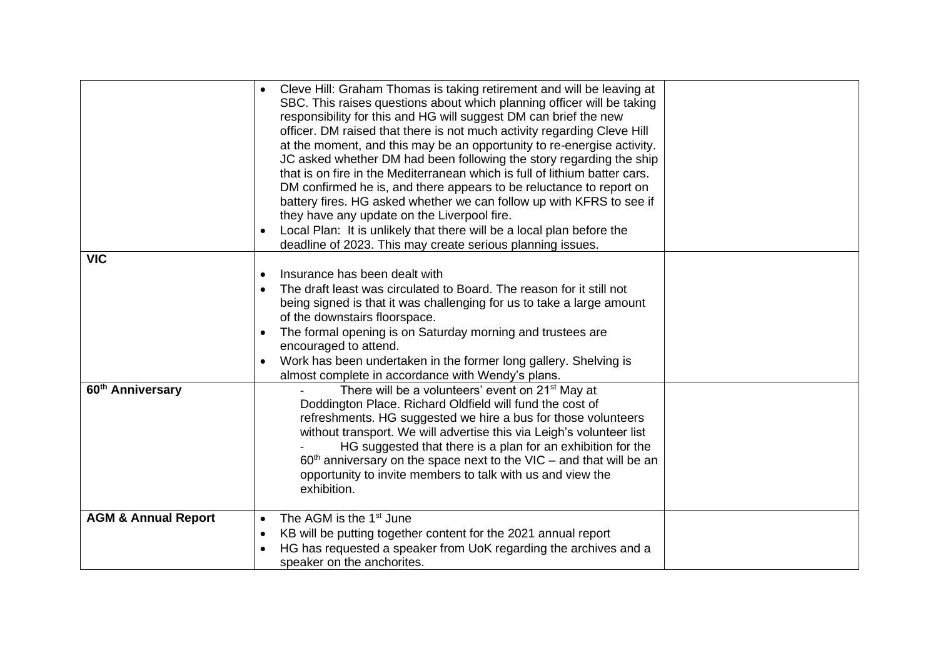|                                | Cleve Hill: Graham Thomas is taking retirement and will be leaving at<br>SBC. This raises questions about which planning officer will be taking<br>responsibility for this and HG will suggest DM can brief the new<br>officer. DM raised that there is not much activity regarding Cleve Hill<br>at the moment, and this may be an opportunity to re-energise activity.<br>JC asked whether DM had been following the story regarding the ship<br>that is on fire in the Mediterranean which is full of lithium batter cars.<br>DM confirmed he is, and there appears to be reluctance to report on<br>battery fires. HG asked whether we can follow up with KFRS to see if<br>they have any update on the Liverpool fire.<br>Local Plan: It is unlikely that there will be a local plan before the<br>deadline of 2023. This may create serious planning issues. |  |
|--------------------------------|--------------------------------------------------------------------------------------------------------------------------------------------------------------------------------------------------------------------------------------------------------------------------------------------------------------------------------------------------------------------------------------------------------------------------------------------------------------------------------------------------------------------------------------------------------------------------------------------------------------------------------------------------------------------------------------------------------------------------------------------------------------------------------------------------------------------------------------------------------------------|--|
| <b>VIC</b>                     |                                                                                                                                                                                                                                                                                                                                                                                                                                                                                                                                                                                                                                                                                                                                                                                                                                                                    |  |
|                                | Insurance has been dealt with<br>$\bullet$<br>The draft least was circulated to Board. The reason for it still not<br>$\bullet$<br>being signed is that it was challenging for us to take a large amount<br>of the downstairs floorspace.<br>The formal opening is on Saturday morning and trustees are<br>$\bullet$<br>encouraged to attend.<br>Work has been undertaken in the former long gallery. Shelving is<br>almost complete in accordance with Wendy's plans.                                                                                                                                                                                                                                                                                                                                                                                             |  |
| 60 <sup>th</sup> Anniversary   | There will be a volunteers' event on 21 <sup>st</sup> May at<br>Doddington Place. Richard Oldfield will fund the cost of<br>refreshments. HG suggested we hire a bus for those volunteers<br>without transport. We will advertise this via Leigh's volunteer list<br>HG suggested that there is a plan for an exhibition for the<br>$60th$ anniversary on the space next to the VIC – and that will be an<br>opportunity to invite members to talk with us and view the<br>exhibition.                                                                                                                                                                                                                                                                                                                                                                             |  |
| <b>AGM &amp; Annual Report</b> | The AGM is the 1 <sup>st</sup> June<br>$\bullet$<br>KB will be putting together content for the 2021 annual report<br>$\bullet$<br>HG has requested a speaker from UoK regarding the archives and a<br>$\bullet$<br>speaker on the anchorites.                                                                                                                                                                                                                                                                                                                                                                                                                                                                                                                                                                                                                     |  |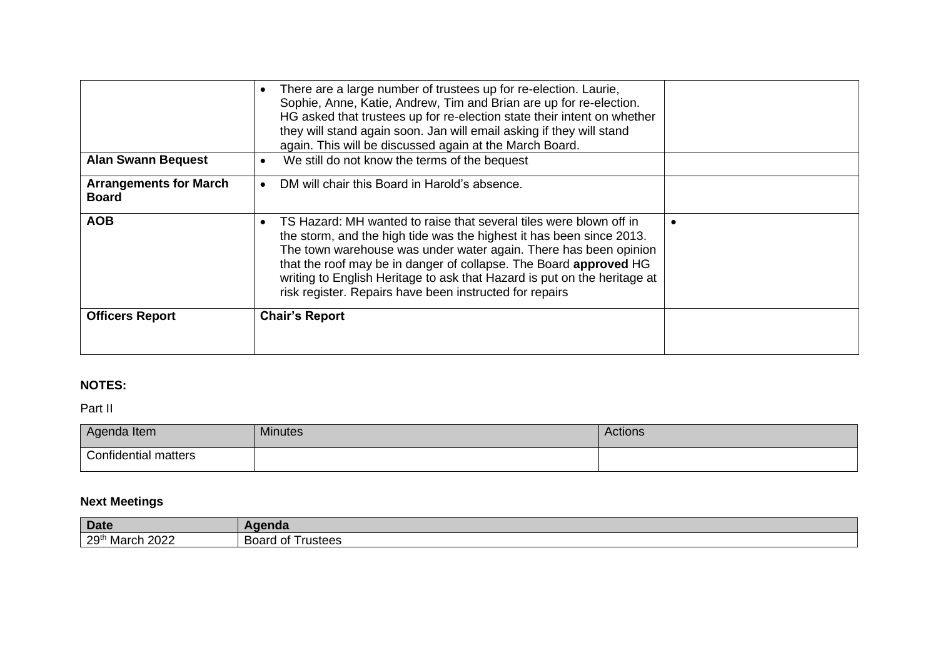| <b>Alan Swann Bequest</b>                     | There are a large number of trustees up for re-election. Laurie,<br>Sophie, Anne, Katie, Andrew, Tim and Brian are up for re-election.<br>HG asked that trustees up for re-election state their intent on whether<br>they will stand again soon. Jan will email asking if they will stand<br>again. This will be discussed again at the March Board.<br>We still do not know the terms of the bequest<br>$\bullet$         |  |
|-----------------------------------------------|----------------------------------------------------------------------------------------------------------------------------------------------------------------------------------------------------------------------------------------------------------------------------------------------------------------------------------------------------------------------------------------------------------------------------|--|
| <b>Arrangements for March</b><br><b>Board</b> | DM will chair this Board in Harold's absence.                                                                                                                                                                                                                                                                                                                                                                              |  |
| <b>AOB</b>                                    | TS Hazard: MH wanted to raise that several tiles were blown off in<br>the storm, and the high tide was the highest it has been since 2013.<br>The town warehouse was under water again. There has been opinion<br>that the roof may be in danger of collapse. The Board approved HG<br>writing to English Heritage to ask that Hazard is put on the heritage at<br>risk register. Repairs have been instructed for repairs |  |
| <b>Officers Report</b>                        | <b>Chair's Report</b>                                                                                                                                                                                                                                                                                                                                                                                                      |  |

## **NOTES:**

Part II

| Agenda Item          | <b>Minutes</b> | <b>Actions</b> |
|----------------------|----------------|----------------|
| Confidential matters |                |                |

## **Next Meetings**

| <b>Date</b>                       | A<br>ч іча                       |
|-----------------------------------|----------------------------------|
| 29 <sup>th</sup><br>2022<br>March | Board<br>$\sim$<br>rustees<br>ັບ |